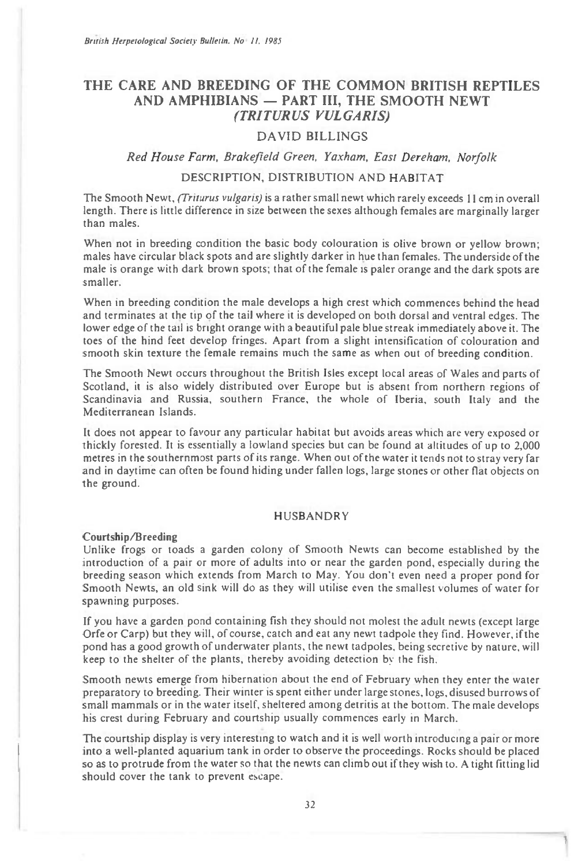# **THE CARE AND BREEDING OF THE COMMON BRITISH REPTILES AND AMPHIBIANS — PART HI, THE SMOOTH NEWT**  *(TRITURUS VULGAR'S)*

## DAVID BILLINGS

## *Red House Farm, Brakefield Green, Yaxham, East Dereham, Norfolk*

## DESCRIPTION, DISTRIBUTION AND HABITAT

The Smooth Newt, *(Triturus vulgaris) is* a rather small newt which rarely exceeds 11 cm in overall length. There is little difference in size between the sexes although females are marginally larger than males.

When not in breeding condition the basic body colouration is olive brown or yellow brown; males have circular black spots and are slightly darker in hue than females. The underside of the male is orange with dark brown spots; that of the female is paler orange and the dark spots are smaller.

When in breeding condition the male develops a high crest which commences behind the head and terminates at the tip of the tail where it is developed on both dorsal and ventral edges. The lower edge of the tail is bright orange with a beautiful pale blue streak immediately above it. The toes of the hind feet develop fringes. Apart from a slight intensification of colouration and smooth skin texture the female remains much the same as when out of breeding condition.

The Smooth Newt occurs throughout the British Isles except local areas of Wales and parts of Scotland, it is also widely distributed over Europe but is absent from northern regions of Scandinavia and Russia, southern France, the whole of Iberia, south Italy and the Mediterranean Islands.

It does not appear to favour any particular habitat but avoids areas which are very exposed or thickly forested. It is essentially a lowland species but can be found at altitudes of up to 2,000 metres in the southernmost parts of its range. When out of the water it tends not to stray very far and in daytime can often be found hiding under fallen logs, large stones or other flat objects on the ground.

#### **HUSBANDRY**

#### Courtship/Breeding

Unlike frogs or toads a garden colony of Smooth Newts can become established by the introduction of a pair or more of adults into or near the garden pond, especially during the breeding season which extends from March to May. You don't even need a proper pond for Smooth Newts, an old sink will do as they will utilise even the smallest volumes of water for spawning purposes.

If you have a garden pond containing fish they should not molest the adult newts (except large Orfe or Carp) but they will, of course, catch and eat any newt tadpole they find. However, if the pond has a good growth of underwater plants, the newt tadpoles, being secretive by nature, will keep to the shelter of the plants, thereby avoiding detection by the fish.

Smooth newts emerge from hibernation about the end of February when they enter the water preparatory to breeding. Their winter is spent either under large stones, logs, disused burrows of small mammals or in the water itself, sheltered among detritis at the bottom. The male develops his crest during February and courtship usually commences early in March.

The courtship display is very interesting to watch and it is well worth introducing a pair or more into a well-planted aquarium tank in order to observe the proceedings. Rocks should be placed so as to protrude from the water so that the newts can climb out if they wish to. A tight fitting lid should cover the tank to prevent escape.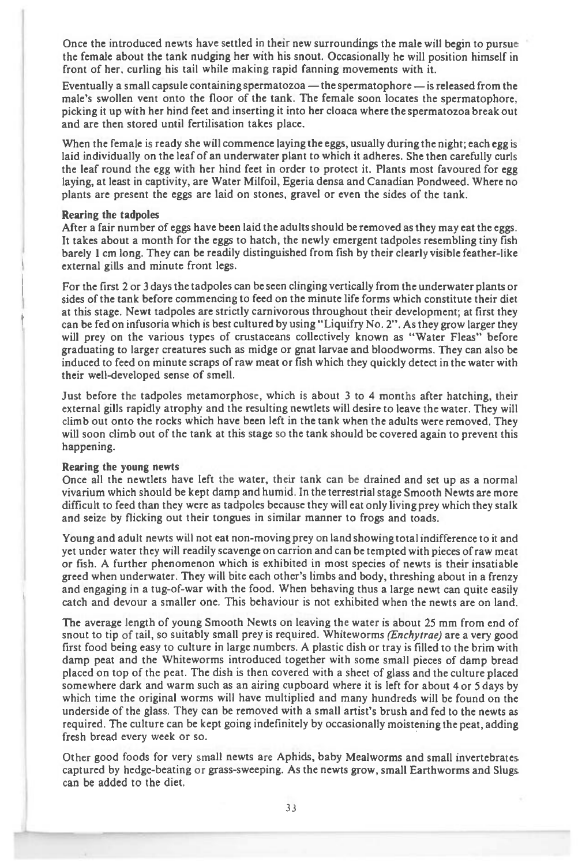Once the introduced newts have settled in their new surroundings the male will begin to pursu the female about the tank nudging her with his snout. Occasionally he will position himself in front of her, curling his tail while making rapid fanning movements with it.

Eventually a small capsule containing spermatozoa — the spermatophore — is released from the male's swollen vent onto the floor of the tank. The female soon locates the spermatophore, picking it up with her hind feet and inserting it into her cloaca where the spermatozoa break out and are then stored until fertilisation takes place.

When the female is ready she will commence laying the eggs, usually during the night; each egg is laid individually on the leaf of an underwater plant to which it adheres. She then carefully curls the leaf round the egg with her hind feet in order to protect it. Plants most favoured for egg laying, at least in captivity, are Water Milfoil, Egeria densa and Canadian Pondweed. Where no plants are present the eggs are laid on stones, gravel or even the sides of the tank.

#### **Rearing the tadpoles**

After a fair number of eggs have been laid the adults should be removed as they may eat the eggs. It takes about a month for the eggs to hatch, the newly emergent tadpoles resembling tiny fish barely 1 cm long. They can be readily distinguished from fish by their clearly visible feather-like external gills and minute front legs.

For the first 2 or 3 days the tadpoles can be seen clinging vertically from the underwater plants or sides of the tank before commencing to feed on the minute life forms which constitute their diet at this stage. Newt tadpoles are strictly carnivorous throughout their development; at first they can be fed on infusoria which is best cultured by using "Liquifry No. 2". As they grow larger they will prey on the various types of crustaceans collectively known as "Water Fleas" before graduating to larger creatures such as midge or gnat larvae and bloodworms. They can also be induced to feed on minute scraps of raw meat or fish which they quickly detect in the water with their well-developed sense of smell.

Just before the tadpoles metamorphose, which is about 3 to 4 months after hatching, their external gills rapidly atrophy and the resulting newtlets will desire to leave the water. They will climb out onto the rocks which have been left in the tank when the adults were removed. They will soon climb out of the tank at this stage so the tank should be covered again to prevent this happening.

#### **Rearing the young newts**

Once all the newtlets have left the water, their tank can be drained and set up as a normal vivarium which should be kept damp and humid. In the terrestrial stage Smooth Newts are more difficult to feed than they were as tadpoles because they will eat only living prey which they stalk and seize by flicking out their tongues in similar manner to frogs and toads.

Young and adult newts will not eat non-moving prey on land showing total indifference to it and yet under water they will readily scavenge on carrion and can be tempted with pieces of raw meat or fish. A further phenomenon which is exhibited in most species of newts is their insatiable greed when underwater. They will bite each other's limbs and body, threshing about in a frenzy and engaging in a tug-of-war with the food. When behaving thus a large newt can quite easily catch and devour a smaller one. This behaviour is not exhibited when the newts are on land.

The average length of young Smooth Newts on leaving the water is about 25 mm from end of snout to tip of tail, so suitably small prey is required. Whiteworms *(Enchytrae)* are a very good first food being easy to culture in large numbers. A plastic dish or tray is filled to the brim with damp peat and the Whiteworms introduced together with some small pieces of damp bread placed on top of the peat. The dish is then covered with a sheet of glass and the culture placed somewhere dark and warm such as an airing cupboard where it is left for about 4 or 5 days by which time the original worms will have multiplied and many hundreds will be found on the underside of the glass. They can be removed with a small artist's brush and fed to the newts as required. The culture can be kept going indefinitely by occasionally moistening the peat, adding fresh bread every week or so.

Other good foods for very small newts are Aphids, baby Mealworms and small invertebrates captured by hedge-beating or grass-sweeping. As the newts grow, small Earthworms and Slugs can be added to the diet.